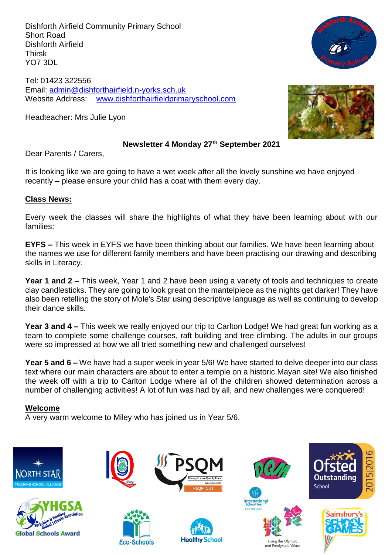Dishforth Airfield Community Primary School Short Road Dishforth Airfield Thirsk YO7 3DL

Tel: 01423 322556 Email: [admin@dishforthairfield.n-yorks.sch.uk](mailto:admin@dishforthairfield.n-yorks.sch.uk) Website Address: [www.dishforthairfieldprimaryschool.com](http://www.dishforthairfieldprimaryschool.com/)

Headteacher: Mrs Julie Lyon





#### **Newsletter 4 Monday 27 th September 2021**

Dear Parents / Carers,

It is looking like we are going to have a wet week after all the lovely sunshine we have enjoyed recently – please ensure your child has a coat with them every day.

#### **Class News:**

Every week the classes will share the highlights of what they have been learning about with our families:

**EYFS –** This week in EYFS we have been thinking about our families. We have been learning about the names we use for different family members and have been practising our drawing and describing skills in Literacy.

**Year 1 and 2 –** This week, Year 1 and 2 have been using a variety of tools and techniques to create clay candlesticks. They are going to look great on the mantelpiece as the nights get darker! They have also been retelling the story of Mole's Star using descriptive language as well as continuing to develop their dance skills.

**Year 3 and 4 –** This week we really enjoyed our trip to Carlton Lodge! We had great fun working as a team to complete some challenge courses, raft building and tree climbing. The adults in our groups were so impressed at how we all tried something new and challenged ourselves!

**Year 5 and 6 –** We have had a super week in year 5/6! We have started to delve deeper into our class text where our main characters are about to enter a temple on a historic Mayan site! We also finished the week off with a trip to Carlton Lodge where all of the children showed determination across a number of challenging activities! A lot of fun was had by all, and new challenges were conquered!

#### **Welcome**

A very warm welcome to Miley who has joined us in Year 5/6.

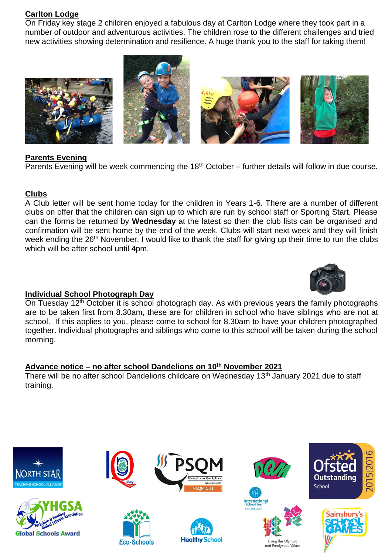### **Carlton Lodge**

On Friday key stage 2 children enjoyed a fabulous day at Carlton Lodge where they took part in a number of outdoor and adventurous activities. The children rose to the different challenges and tried new activities showing determination and resilience. A huge thank you to the staff for taking them!



### **Parents Evening**

Parents Evening will be week commencing the  $18<sup>th</sup>$  October – further details will follow in due course.

#### **Clubs**

A Club letter will be sent home today for the children in Years 1-6. There are a number of different clubs on offer that the children can sign up to which are run by school staff or Sporting Start. Please can the forms be returned by **Wednesday** at the latest so then the club lists can be organised and confirmation will be sent home by the end of the week. Clubs will start next week and they will finish week ending the 26<sup>th</sup> November. I would like to thank the staff for giving up their time to run the clubs which will be after school until 4pm.



### **Individual School Photograph Day**

On Tuesday 12<sup>th</sup> October it is school photograph day. As with previous years the family photographs are to be taken first from 8.30am, these are for children in school who have siblings who are not at school. If this applies to you, please come to school for 8.30am to have your children photographed together. Individual photographs and siblings who come to this school will be taken during the school morning.

### **Advance notice – no after school Dandelions on 10 th November 2021**

There will be no after school Dandelions childcare on Wednesday 13<sup>th</sup> January 2021 due to staff training.

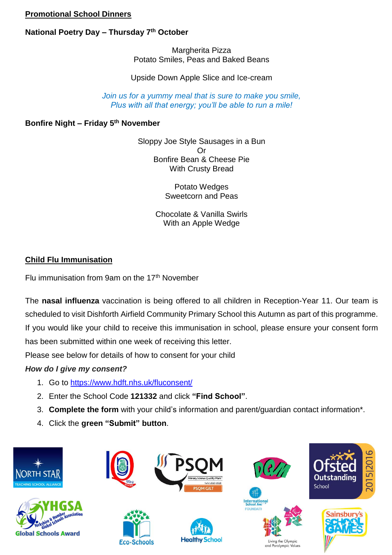### **Promotional School Dinners**

## **National Poetry Day – Thursday 7th October**

Margherita Pizza Potato Smiles, Peas and Baked Beans

Upside Down Apple Slice and Ice-cream

*Join us for a yummy meal that is sure to make you smile, Plus with all that energy; you'll be able to run a mile!*

### **Bonfire Night – Friday 5th November**

Sloppy Joe Style Sausages in a Bun Or Bonfire Bean & Cheese Pie With Crusty Bread

> Potato Wedges Sweetcorn and Peas

Chocolate & Vanilla Swirls With an Apple Wedge

# **Child Flu Immunisation**

Flu immunisation from 9am on the  $17<sup>th</sup>$  November

The **nasal influenza** vaccination is being offered to all children in Reception-Year 11. Our team is scheduled to visit Dishforth Airfield Community Primary School this Autumn as part of this programme. If you would like your child to receive this immunisation in school, please ensure your consent form has been submitted within one week of receiving this letter.

Please see below for details of how to consent for your child

# *How do I give my consent?*

- 1. Go to [https://www.hdft.nhs.uk/fluconsent/](https://www.hdft.nhs.uk/fluconsent)
- 2. Enter the School Code **121332** and click **"Find School"**.
- 3. **Complete the form** with your child's information and parent/guardian contact information\*.
- 4. Click the **green "Submit" button**.

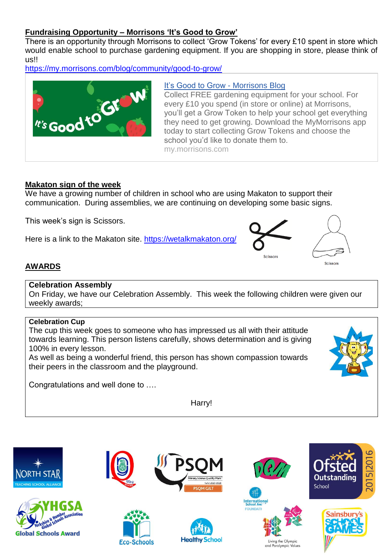### **Fundraising Opportunity – Morrisons 'It's Good to Grow'**

There is an opportunity through Morrisons to collect 'Grow Tokens' for every £10 spent in store which would enable school to purchase gardening equipment. If you are shopping in store, please think of us!!

<https://my.morrisons.com/blog/community/good-to-grow/>



#### [It's Good to Grow -](https://my.morrisons.com/blog/community/good-to-grow/) Morrisons Blog

Collect FREE gardening equipment for your school. For every £10 you spend (in store or online) at Morrisons, you'll get a Grow Token to help your school get everything they need to get growing. Download the MyMorrisons app today to start collecting Grow Tokens and choose the school you'd like to donate them to. my.morrisons.com

#### **Makaton sign of the week**

We have a growing number of children in school who are using Makaton to support their communication. During assemblies, we are continuing on developing some basic signs.

This week's sign is Scissors.

Here is a link to the Makaton site. <https://wetalkmakaton.org/>



### **AWARDS**

#### **Celebration Assembly**

On Friday, we have our Celebration Assembly. This week the following children were given our weekly awards;

### **Celebration Cup**

The cup this week goes to someone who has impressed us all with their attitude towards learning. This person listens carefully, shows determination and is giving 100% in every lesson.

As well as being a wonderful friend, this person has shown compassion towards their peers in the classroom and the playground.

Congratulations and well done to ….

Harry!

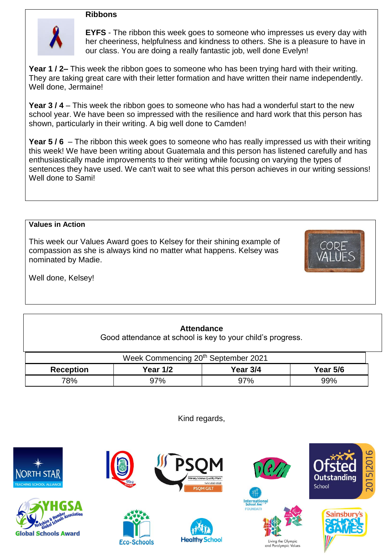#### **Ribbons**



**EYFS** - The ribbon this week goes to someone who impresses us every day with her cheeriness, helpfulness and kindness to others. She is a pleasure to have in our class. You are doing a really fantastic job, well done Evelyn!

**Year 1 / 2–** This week the ribbon goes to someone who has been trying hard with their writing. They are taking great care with their letter formation and have written their name independently. Well done, Jermaine!

**Year 3 / 4** – This week the ribbon goes to someone who has had a wonderful start to the new school year. We have been so impressed with the resilience and hard work that this person has shown, particularly in their writing. A big well done to Camden!

**Year 5 / 6** – The ribbon this week goes to someone who has really impressed us with their writing this week! We have been writing about Guatemala and this person has listened carefully and has enthusiastically made improvements to their writing while focusing on varying the types of sentences they have used. We can't wait to see what this person achieves in our writing sessions! Well done to Sami!

#### **Values in Action**

This week our Values Award goes to Kelsey for their shining example of compassion as she is always kind no matter what happens. Kelsey was nominated by Madie.



Well done, Kelsey!

### **Attendance**

Good attendance at school is key to your child's progress.

| Week Commencing 20 <sup>th</sup> September 2021 |          |          |          |  |  |  |
|-------------------------------------------------|----------|----------|----------|--|--|--|
| <b>Reception</b>                                | Year 1/2 | Year 3/4 | Year 5/6 |  |  |  |
| 78%                                             | 97%      | 97%      | 99%      |  |  |  |

Kind regards,